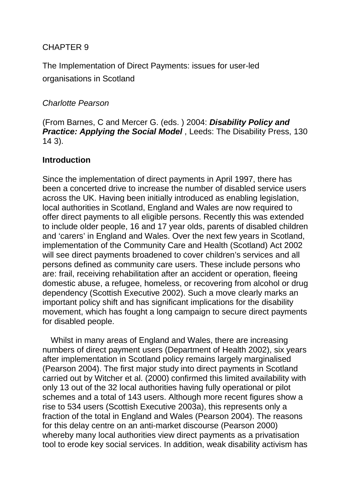## CHAPTER 9

The Implementation of Direct Payments: issues for user-led organisations in Scotland

## *Charlotte Pearson*

(From Barnes, C and Mercer G. (eds. ) 2004: *Disability Policy and Practice: Applying the Social Model* , Leeds: The Disability Press, 130 14 3).

## **Introduction**

Since the implementation of direct payments in April 1997, there has been a concerted drive to increase the number of disabled service users across the UK. Having been initially introduced as enabling legislation, local authorities in Scotland, England and Wales are now required to offer direct payments to all eligible persons. Recently this was extended to include older people, 16 and 17 year olds, parents of disabled children and 'carers' in England and Wales. Over the next few years in Scotland, implementation of the Community Care and Health (Scotland) Act 2002 will see direct payments broadened to cover children's services and all persons defined as community care users. These include persons who are: frail, receiving rehabilitation after an accident or operation, fleeing domestic abuse, a refugee, homeless, or recovering from alcohol or drug dependency (Scottish Executive 2002). Such a move clearly marks an important policy shift and has significant implications for the disability movement, which has fought a long campaign to secure direct payments for disabled people.

Whilst in many areas of England and Wales, there are increasing numbers of direct payment users (Department of Health 2002), six years after implementation in Scotland policy remains largely marginalised (Pearson 2004). The first major study into direct payments in Scotland carried out by Witcher et al. (2000) confirmed this limited availability with only 13 out of the 32 local authorities having fully operational or pilot schemes and a total of 143 users. Although more recent figures show a rise to 534 users (Scottish Executive 2003a), this represents only a fraction of the total in England and Wales (Pearson 2004). The reasons for this delay centre on an anti-market discourse (Pearson 2000) whereby many local authorities view direct payments as a privatisation tool to erode key social services. In addition, weak disability activism has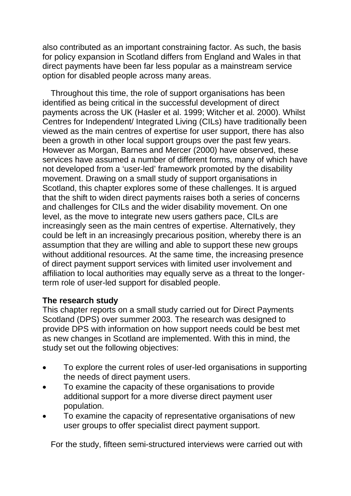also contributed as an important constraining factor. As such, the basis for policy expansion in Scotland differs from England and Wales in that direct payments have been far less popular as a mainstream service option for disabled people across many areas.

Throughout this time, the role of support organisations has been identified as being critical in the successful development of direct payments across the UK (Hasler et al. 1999; Witcher et al. 2000). Whilst Centres for Independent/ Integrated Living (CILs) have traditionally been viewed as the main centres of expertise for user support, there has also been a growth in other local support groups over the past few years. However as Morgan, Barnes and Mercer (2000) have observed, these services have assumed a number of different forms, many of which have not developed from a 'user-led' framework promoted by the disability movement. Drawing on a small study of support organisations in Scotland, this chapter explores some of these challenges. It is argued that the shift to widen direct payments raises both a series of concerns and challenges for CILs and the wider disability movement. On one level, as the move to integrate new users gathers pace, CILs are increasingly seen as the main centres of expertise. Alternatively, they could be left in an increasingly precarious position, whereby there is an assumption that they are willing and able to support these new groups without additional resources. At the same time, the increasing presence of direct payment support services with limited user involvement and affiliation to local authorities may equally serve as a threat to the longerterm role of user-led support for disabled people.

## **The research study**

This chapter reports on a small study carried out for Direct Payments Scotland (DPS) over summer 2003. The research was designed to provide DPS with information on how support needs could be best met as new changes in Scotland are implemented. With this in mind, the study set out the following objectives:

- To explore the current roles of user-led organisations in supporting the needs of direct payment users.
- To examine the capacity of these organisations to provide additional support for a more diverse direct payment user population.
- To examine the capacity of representative organisations of new user groups to offer specialist direct payment support.

For the study, fifteen semi-structured interviews were carried out with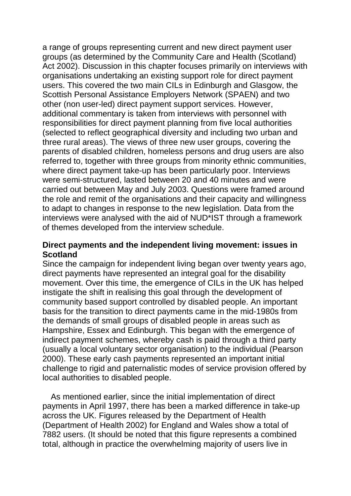a range of groups representing current and new direct payment user groups (as determined by the Community Care and Health (Scotland) Act 2002). Discussion in this chapter focuses primarily on interviews with organisations undertaking an existing support role for direct payment users. This covered the two main CILs in Edinburgh and Glasgow, the Scottish Personal Assistance Employers Network (SPAEN) and two other (non user-led) direct payment support services. However, additional commentary is taken from interviews with personnel with responsibilities for direct payment planning from five local authorities (selected to reflect geographical diversity and including two urban and three rural areas). The views of three new user groups, covering the parents of disabled children, homeless persons and drug users are also referred to, together with three groups from minority ethnic communities, where direct payment take-up has been particularly poor. Interviews were semi-structured, lasted between 20 and 40 minutes and were carried out between May and July 2003. Questions were framed around the role and remit of the organisations and their capacity and willingness to adapt to changes in response to the new legislation. Data from the interviews were analysed with the aid of NUD\*IST through a framework of themes developed from the interview schedule.

## **Direct payments and the independent living movement: issues in Scotland**

Since the campaign for independent living began over twenty years ago, direct payments have represented an integral goal for the disability movement. Over this time, the emergence of CILs in the UK has helped instigate the shift in realising this goal through the development of community based support controlled by disabled people. An important basis for the transition to direct payments came in the mid-1980s from the demands of small groups of disabled people in areas such as Hampshire, Essex and Edinburgh. This began with the emergence of indirect payment schemes, whereby cash is paid through a third party (usually a local voluntary sector organisation) to the individual (Pearson 2000). These early cash payments represented an important initial challenge to rigid and paternalistic modes of service provision offered by local authorities to disabled people.

As mentioned earlier, since the initial implementation of direct payments in April 1997, there has been a marked difference in take-up across the UK. Figures released by the Department of Health (Department of Health 2002) for England and Wales show a total of 7882 users. (It should be noted that this figure represents a combined total, although in practice the overwhelming majority of users live in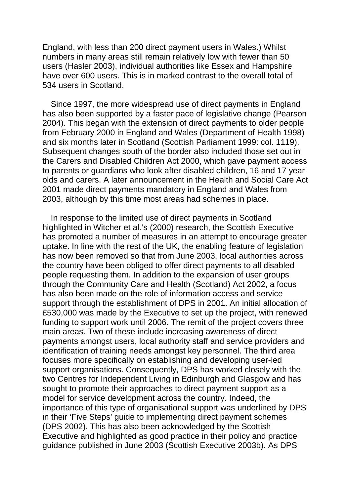England, with less than 200 direct payment users in Wales.) Whilst numbers in many areas still remain relatively low with fewer than 50 users (Hasler 2003), individual authorities like Essex and Hampshire have over 600 users. This is in marked contrast to the overall total of 534 users in Scotland.

Since 1997, the more widespread use of direct payments in England has also been supported by a faster pace of legislative change (Pearson 2004). This began with the extension of direct payments to older people from February 2000 in England and Wales (Department of Health 1998) and six months later in Scotland (Scottish Parliament 1999: col. 1119). Subsequent changes south of the border also included those set out in the Carers and Disabled Children Act 2000, which gave payment access to parents or guardians who look after disabled children, 16 and 17 year olds and carers. A later announcement in the Health and Social Care Act 2001 made direct payments mandatory in England and Wales from 2003, although by this time most areas had schemes in place.

In response to the limited use of direct payments in Scotland highlighted in Witcher et al.'s (2000) research, the Scottish Executive has promoted a number of measures in an attempt to encourage greater uptake. In line with the rest of the UK, the enabling feature of legislation has now been removed so that from June 2003, local authorities across the country have been obliged to offer direct payments to all disabled people requesting them. In addition to the expansion of user groups through the Community Care and Health (Scotland) Act 2002, a focus has also been made on the role of information access and service support through the establishment of DPS in 2001. An initial allocation of £530,000 was made by the Executive to set up the project, with renewed funding to support work until 2006. The remit of the project covers three main areas. Two of these include increasing awareness of direct payments amongst users, local authority staff and service providers and identification of training needs amongst key personnel. The third area focuses more specifically on establishing and developing user-led support organisations. Consequently, DPS has worked closely with the two Centres for Independent Living in Edinburgh and Glasgow and has sought to promote their approaches to direct payment support as a model for service development across the country. Indeed, the importance of this type of organisational support was underlined by DPS in their 'Five Steps' guide to implementing direct payment schemes (DPS 2002). This has also been acknowledged by the Scottish Executive and highlighted as good practice in their policy and practice guidance published in June 2003 (Scottish Executive 2003b). As DPS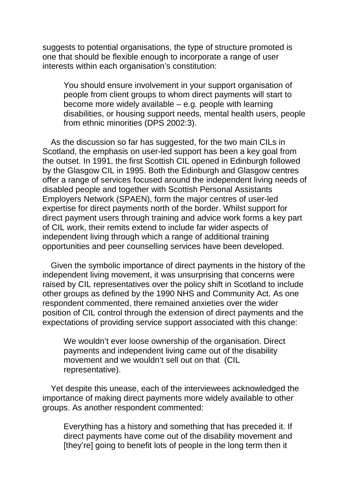suggests to potential organisations, the type of structure promoted is one that should be flexible enough to incorporate a range of user interests within each organisation's constitution:

You should ensure involvement in your support organisation of people from client groups to whom direct payments will start to become more widely available – e.g. people with learning disabilities, or housing support needs, mental health users, people from ethnic minorities (DPS 2002:3).

As the discussion so far has suggested, for the two main CILs in Scotland, the emphasis on user-led support has been a key goal from the outset. In 1991, the first Scottish CIL opened in Edinburgh followed by the Glasgow CIL in 1995. Both the Edinburgh and Glasgow centres offer a range of services focused around the independent living needs of disabled people and together with Scottish Personal Assistants Employers Network (SPAEN), form the major centres of user-led expertise for direct payments north of the border. Whilst support for direct payment users through training and advice work forms a key part of CIL work, their remits extend to include far wider aspects of independent living through which a range of additional training opportunities and peer counselling services have been developed.

Given the symbolic importance of direct payments in the history of the independent living movement, it was unsurprising that concerns were raised by CIL representatives over the policy shift in Scotland to include other groups as defined by the 1990 NHS and Community Act. As one respondent commented, there remained anxieties over the wider position of CIL control through the extension of direct payments and the expectations of providing service support associated with this change:

We wouldn't ever loose ownership of the organisation. Direct payments and independent living came out of the disability movement and we wouldn't sell out on that (CIL representative).

Yet despite this unease, each of the interviewees acknowledged the importance of making direct payments more widely available to other groups. As another respondent commented:

Everything has a history and something that has preceded it. If direct payments have come out of the disability movement and [they're] going to benefit lots of people in the long term then it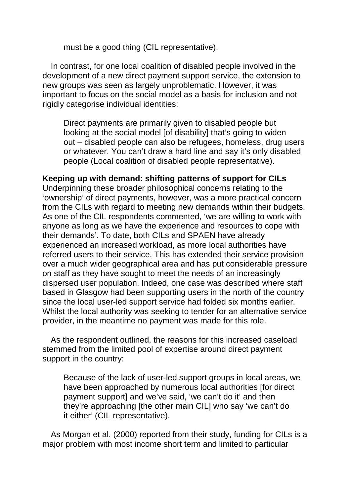must be a good thing (CIL representative).

In contrast, for one local coalition of disabled people involved in the development of a new direct payment support service, the extension to new groups was seen as largely unproblematic. However, it was important to focus on the social model as a basis for inclusion and not rigidly categorise individual identities:

Direct payments are primarily given to disabled people but looking at the social model [of disability] that's going to widen out – disabled people can also be refugees, homeless, drug users or whatever. You can't draw a hard line and say it's only disabled people (Local coalition of disabled people representative).

## **Keeping up with demand: shifting patterns of support for CILs**

Underpinning these broader philosophical concerns relating to the 'ownership' of direct payments, however, was a more practical concern from the CILs with regard to meeting new demands within their budgets. As one of the CIL respondents commented, 'we are willing to work with anyone as long as we have the experience and resources to cope with their demands'. To date, both CILs and SPAEN have already experienced an increased workload, as more local authorities have referred users to their service. This has extended their service provision over a much wider geographical area and has put considerable pressure on staff as they have sought to meet the needs of an increasingly dispersed user population. Indeed, one case was described where staff based in Glasgow had been supporting users in the north of the country since the local user-led support service had folded six months earlier. Whilst the local authority was seeking to tender for an alternative service provider, in the meantime no payment was made for this role.

As the respondent outlined, the reasons for this increased caseload stemmed from the limited pool of expertise around direct payment support in the country:

Because of the lack of user-led support groups in local areas, we have been approached by numerous local authorities [for direct payment support] and we've said, 'we can't do it' and then they're approaching [the other main CIL] who say 'we can't do it either' (CIL representative).

As Morgan et al. (2000) reported from their study, funding for CILs is a major problem with most income short term and limited to particular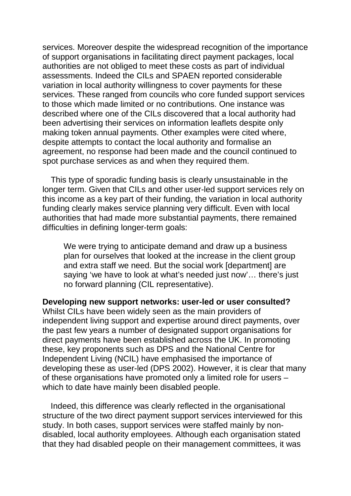services. Moreover despite the widespread recognition of the importance of support organisations in facilitating direct payment packages, local authorities are not obliged to meet these costs as part of individual assessments. Indeed the CILs and SPAEN reported considerable variation in local authority willingness to cover payments for these services. These ranged from councils who core funded support services to those which made limited or no contributions. One instance was described where one of the CILs discovered that a local authority had been advertising their services on information leaflets despite only making token annual payments. Other examples were cited where, despite attempts to contact the local authority and formalise an agreement, no response had been made and the council continued to spot purchase services as and when they required them.

This type of sporadic funding basis is clearly unsustainable in the longer term. Given that CILs and other user-led support services rely on this income as a key part of their funding, the variation in local authority funding clearly makes service planning very difficult. Even with local authorities that had made more substantial payments, there remained difficulties in defining longer-term goals:

We were trying to anticipate demand and draw up a business plan for ourselves that looked at the increase in the client group and extra staff we need. But the social work [department] are saying 'we have to look at what's needed just now'… there's just no forward planning (CIL representative).

**Developing new support networks: user-led or user consulted?**  Whilst CILs have been widely seen as the main providers of independent living support and expertise around direct payments, over the past few years a number of designated support organisations for direct payments have been established across the UK. In promoting these, key proponents such as DPS and the National Centre for Independent Living (NCIL) have emphasised the importance of developing these as user-led (DPS 2002). However, it is clear that many of these organisations have promoted only a limited role for users – which to date have mainly been disabled people.

Indeed, this difference was clearly reflected in the organisational structure of the two direct payment support services interviewed for this study. In both cases, support services were staffed mainly by nondisabled, local authority employees. Although each organisation stated that they had disabled people on their management committees, it was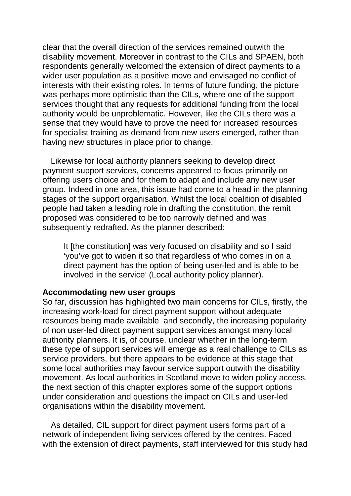clear that the overall direction of the services remained outwith the disability movement. Moreover in contrast to the CILs and SPAEN, both respondents generally welcomed the extension of direct payments to a wider user population as a positive move and envisaged no conflict of interests with their existing roles. In terms of future funding, the picture was perhaps more optimistic than the CILs, where one of the support services thought that any requests for additional funding from the local authority would be unproblematic. However, like the CILs there was a sense that they would have to prove the need for increased resources for specialist training as demand from new users emerged, rather than having new structures in place prior to change.

Likewise for local authority planners seeking to develop direct payment support services, concerns appeared to focus primarily on offering users choice and for them to adapt and include any new user group. Indeed in one area, this issue had come to a head in the planning stages of the support organisation. Whilst the local coalition of disabled people had taken a leading role in drafting the constitution, the remit proposed was considered to be too narrowly defined and was subsequently redrafted. As the planner described:

It [the constitution] was very focused on disability and so I said 'you've got to widen it so that regardless of who comes in on a direct payment has the option of being user-led and is able to be involved in the service' (Local authority policy planner).

#### **Accommodating new user groups**

So far, discussion has highlighted two main concerns for CILs, firstly, the increasing work-load for direct payment support without adequate resources being made available and secondly, the increasing popularity of non user-led direct payment support services amongst many local authority planners. It is, of course, unclear whether in the long-term these type of support services will emerge as a real challenge to CILs as service providers, but there appears to be evidence at this stage that some local authorities may favour service support outwith the disability movement. As local authorities in Scotland move to widen policy access, the next section of this chapter explores some of the support options under consideration and questions the impact on CILs and user-led organisations within the disability movement.

As detailed, CIL support for direct payment users forms part of a network of independent living services offered by the centres. Faced with the extension of direct payments, staff interviewed for this study had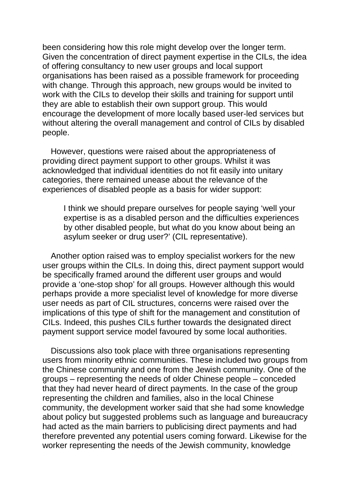been considering how this role might develop over the longer term. Given the concentration of direct payment expertise in the CILs, the idea of offering consultancy to new user groups and local support organisations has been raised as a possible framework for proceeding with change. Through this approach, new groups would be invited to work with the CILs to develop their skills and training for support until they are able to establish their own support group. This would encourage the development of more locally based user-led services but without altering the overall management and control of CILs by disabled people.

However, questions were raised about the appropriateness of providing direct payment support to other groups. Whilst it was acknowledged that individual identities do not fit easily into unitary categories, there remained unease about the relevance of the experiences of disabled people as a basis for wider support:

I think we should prepare ourselves for people saying 'well your expertise is as a disabled person and the difficulties experiences by other disabled people, but what do you know about being an asylum seeker or drug user?' (CIL representative).

Another option raised was to employ specialist workers for the new user groups within the CILs. In doing this, direct payment support would be specifically framed around the different user groups and would provide a 'one-stop shop' for all groups. However although this would perhaps provide a more specialist level of knowledge for more diverse user needs as part of CIL structures, concerns were raised over the implications of this type of shift for the management and constitution of CILs. Indeed, this pushes CILs further towards the designated direct payment support service model favoured by some local authorities.

Discussions also took place with three organisations representing users from minority ethnic communities. These included two groups from the Chinese community and one from the Jewish community. One of the groups – representing the needs of older Chinese people – conceded that they had never heard of direct payments. In the case of the group representing the children and families, also in the local Chinese community, the development worker said that she had some knowledge about policy but suggested problems such as language and bureaucracy had acted as the main barriers to publicising direct payments and had therefore prevented any potential users coming forward. Likewise for the worker representing the needs of the Jewish community, knowledge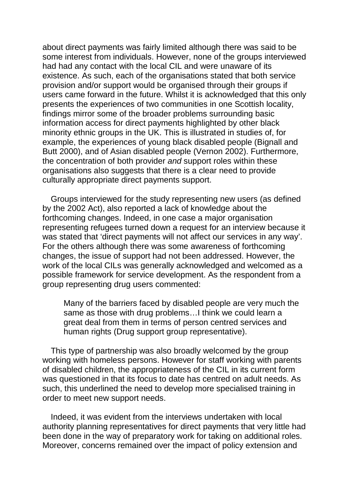about direct payments was fairly limited although there was said to be some interest from individuals. However, none of the groups interviewed had had any contact with the local CIL and were unaware of its existence. As such, each of the organisations stated that both service provision and/or support would be organised through their groups if users came forward in the future. Whilst it is acknowledged that this only presents the experiences of two communities in one Scottish locality, findings mirror some of the broader problems surrounding basic information access for direct payments highlighted by other black minority ethnic groups in the UK. This is illustrated in studies of, for example, the experiences of young black disabled people (Bignall and Butt 2000), and of Asian disabled people (Vernon 2002). Furthermore, the concentration of both provider *and* support roles within these organisations also suggests that there is a clear need to provide culturally appropriate direct payments support.

Groups interviewed for the study representing new users (as defined by the 2002 Act), also reported a lack of knowledge about the forthcoming changes. Indeed, in one case a major organisation representing refugees turned down a request for an interview because it was stated that 'direct payments will not affect our services in any way'. For the others although there was some awareness of forthcoming changes, the issue of support had not been addressed. However, the work of the local CILs was generally acknowledged and welcomed as a possible framework for service development. As the respondent from a group representing drug users commented:

Many of the barriers faced by disabled people are very much the same as those with drug problems…I think we could learn a great deal from them in terms of person centred services and human rights (Drug support group representative).

This type of partnership was also broadly welcomed by the group working with homeless persons. However for staff working with parents of disabled children, the appropriateness of the CIL in its current form was questioned in that its focus to date has centred on adult needs. As such, this underlined the need to develop more specialised training in order to meet new support needs.

Indeed, it was evident from the interviews undertaken with local authority planning representatives for direct payments that very little had been done in the way of preparatory work for taking on additional roles. Moreover, concerns remained over the impact of policy extension and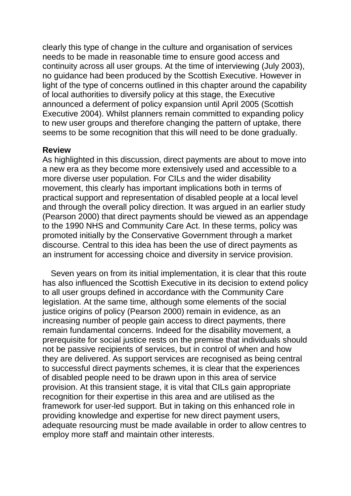clearly this type of change in the culture and organisation of services needs to be made in reasonable time to ensure good access and continuity across all user groups. At the time of interviewing (July 2003), no guidance had been produced by the Scottish Executive. However in light of the type of concerns outlined in this chapter around the capability of local authorities to diversify policy at this stage, the Executive announced a deferment of policy expansion until April 2005 (Scottish Executive 2004). Whilst planners remain committed to expanding policy to new user groups and therefore changing the pattern of uptake, there seems to be some recognition that this will need to be done gradually.

#### **Review**

As highlighted in this discussion, direct payments are about to move into a new era as they become more extensively used and accessible to a more diverse user population. For CILs and the wider disability movement, this clearly has important implications both in terms of practical support and representation of disabled people at a local level and through the overall policy direction. It was argued in an earlier study (Pearson 2000) that direct payments should be viewed as an appendage to the 1990 NHS and Community Care Act. In these terms, policy was promoted initially by the Conservative Government through a market discourse. Central to this idea has been the use of direct payments as an instrument for accessing choice and diversity in service provision.

Seven years on from its initial implementation, it is clear that this route has also influenced the Scottish Executive in its decision to extend policy to all user groups defined in accordance with the Community Care legislation. At the same time, although some elements of the social justice origins of policy (Pearson 2000) remain in evidence, as an increasing number of people gain access to direct payments, there remain fundamental concerns. Indeed for the disability movement, a prerequisite for social justice rests on the premise that individuals should not be passive recipients of services, but in control of when and how they are delivered. As support services are recognised as being central to successful direct payments schemes, it is clear that the experiences of disabled people need to be drawn upon in this area of service provision. At this transient stage, it is vital that CILs gain appropriate recognition for their expertise in this area and are utilised as the framework for user-led support. But in taking on this enhanced role in providing knowledge and expertise for new direct payment users, adequate resourcing must be made available in order to allow centres to employ more staff and maintain other interests.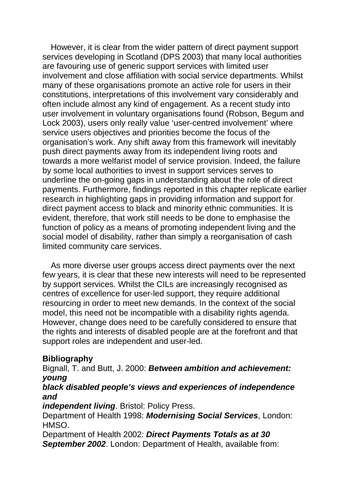However, it is clear from the wider pattern of direct payment support services developing in Scotland (DPS 2003) that many local authorities are favouring use of generic support services with limited user involvement and close affiliation with social service departments. Whilst many of these organisations promote an active role for users in their constitutions, interpretations of this involvement vary considerably and often include almost any kind of engagement. As a recent study into user involvement in voluntary organisations found (Robson, Begum and Lock 2003), users only really value 'user-centred involvement' where service users objectives and priorities become the focus of the organisation's work. Any shift away from this framework will inevitably push direct payments away from its independent living roots and towards a more welfarist model of service provision. Indeed, the failure by some local authorities to invest in support services serves to underline the on-going gaps in understanding about the role of direct payments. Furthermore, findings reported in this chapter replicate earlier research in highlighting gaps in providing information and support for direct payment access to black and minority ethnic communities. It is evident, therefore, that work still needs to be done to emphasise the function of policy as a means of promoting independent living and the social model of disability, rather than simply a reorganisation of cash limited community care services.

As more diverse user groups access direct payments over the next few years, it is clear that these new interests will need to be represented by support services. Whilst the CILs are increasingly recognised as centres of excellence for user-led support, they require additional resourcing in order to meet new demands. In the context of the social model, this need not be incompatible with a disability rights agenda. However, change does need to be carefully considered to ensure that the rights and interests of disabled people are at the forefront and that support roles are independent and user-led.

## **Bibliography**

Bignall, T. and Butt, J. 2000: *Between ambition and achievement: young* 

### *black disabled people's views and experiences of independence and*

*independent living*. Bristol: Policy Press.

Department of Health 1998: *Modernising Social Services*, London: HMSO.

Department of Health 2002: *Direct Payments Totals as at 30 September 2002*. London: Department of Health, available from: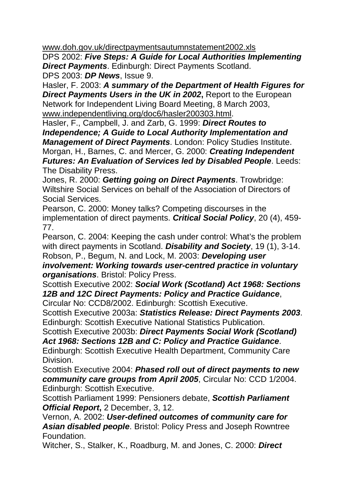www.doh.gov.uk/directpaymentsautumnstatement2002.xls

DPS 2002: *Five Steps: A Guide for Local Authorities Implementing Direct Payments*. Edinburgh: Direct Payments Scotland. DPS 2003: *DP News*, Issue 9.

Hasler, F. 2003: *A summary of the Department of Health Figures for Direct Payments Users in the UK in 2002*, Report to the European Network for Independent Living Board Meeting, 8 March 2003, www.independentliving.org/doc6/hasler200303.html .

Hasler, F., Campbell, J. and Zarb, G. 1999: *Direct Routes to Independence; A Guide to Local Authority Implementation and Management of Direct Payments*. London: Policy Studies Institute. Morgan, H., Barnes, C. and Mercer, G. 2000: *Creating Independent Futures: An Evaluation of Services led by Disabled People*. Leeds: The Disability Press.

Jones, R. 2000: *Getting going on Direct Payments*. Trowbridge: Wiltshire Social Services on behalf of the Association of Directors of Social Services.

Pearson, C. 2000: Money talks? Competing discourses in the implementation of direct payments. *Critical Social Policy*, 20 (4), 459- 77.

Pearson, C. 2004: Keeping the cash under control: What's the problem with direct payments in Scotland. *Disability and Society*, 19 (1), 3-14. Robson, P., Begum, N. and Lock, M. 2003: *Developing user* 

*involvement: Working towards user-centred practice in voluntary organisations*. Bristol: Policy Press.

Scottish Executive 2002: *Social Work (Scotland) Act 1968: Sections 12B and 12C Direct Payments: Policy and Practice Guidance*,

Circular No: CCD8/2002. Edinburgh: Scottish Executive.

Scottish Executive 2003a: *Statistics Release: Direct Payments 2003*. Edinburgh: Scottish Executive National Statistics Publication.

Scottish Executive 2003b: *Direct Payments Social Work (Scotland) Act 1968: Sections 12B and C: Policy and Practice Guidance*.

Edinburgh: Scottish Executive Health Department, Community Care Division.

Scottish Executive 2004: *Phased roll out of direct payments to new community care groups from April 2005*, Circular No: CCD 1/2004. Edinburgh: Scottish Executive.

Scottish Parliament 1999: Pensioners debate, *Scottish Parliament Official Report***,** 2 December, 3, 12.

Vernon, A. 2002: *User-defined outcomes of community care for Asian disabled people*. Bristol: Policy Press and Joseph Rowntree Foundation.

Witcher, S., Stalker, K., Roadburg, M. and Jones, C. 2000: *Direct*